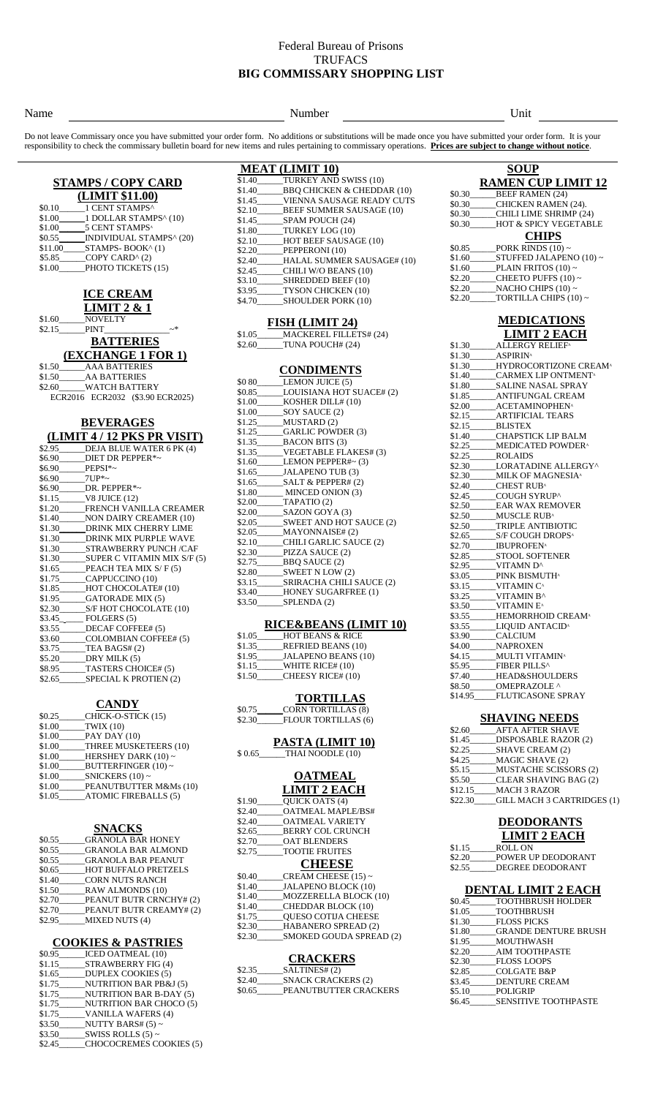### Federal Bureau of Prisons **TRUFACS BIG COMMISSARY SHOPPING LIST**

### Name **Number** Unit

Do not leave Commissary once you have submitted your order form. No additions or substitutions will be made once you have submitted your order form. It is your responsibility to check the commissary bulletin board for new items and rules pertaining to commissary operations. **Prices are subject to change without notice**.

# **STAMPS / COPY CARD**

|         | (LIMIT \$11.00)                   |
|---------|-----------------------------------|
| \$0.10  | 1 CENT STAMPS^                    |
| \$1.00  | 1 DOLLAR STAMPS <sup>^</sup> (10) |
| \$1.00  | 5 CENT STAMPS <sup>^</sup>        |
| \$0.55  | INDIVIDUAL STAMPS^(20)            |
| \$11.00 | STAMPS-BOOK^(1)                   |
| \$5.85  | COPY CARD <sup>^</sup> (2)        |
| \$1.00  | PHOTO TICKETS (15)                |

### **ICE CREAM LIMIT 2 & 1**

| \$1.60 | <b>NOVELTY</b> |
|--------|----------------|
| \$2.15 | <b>PINT</b>    |

# **BATTERIES**

|        | (EXCHANGE 1 FOR 1)   |
|--------|----------------------|
|        | \$1.50 AAA BATTERIES |
| \$1.50 | <b>AA BATTERIES</b>  |
| ደን 60  | WATCH RATTERV        |

| \$2.60 | <b>WATCH BATTERY</b> |                                  |
|--------|----------------------|----------------------------------|
|        |                      | ECR2016 ECR2032 (\$3.90 ECR2025) |

### **BEVERAGES (LIMIT 4 / 12 PKS PR VISIT)**

|                | $\frac{1}{2}$                                 |
|----------------|-----------------------------------------------|
|                | \$2.95 DEJA BLUE WATER 6 PK (4)               |
|                | \$6.90 DIET DR PEPPER*~                       |
| \$6.90 PEPSI*~ |                                               |
| $$6.90$ 7UP*~  |                                               |
|                | \$6.90 DR. PEPPER*~                           |
|                |                                               |
|                | \$1.20______FRENCH VANILLA CREAMER            |
|                | \$1.40 NON DAIRY CREAMER (10)                 |
|                | \$1.30______DRINK MIX CHERRY LIME             |
|                | \$1.30 DRINK MIX PURPLE WAVE                  |
|                | \$1.30 STRAWBERRY PUNCH/CAF                   |
|                | \$1.30____________SUPER C VITAMIN MIX S/F (5) |
|                | \$1.65______PEACH TEA MIX S/F(5)              |
|                | \$1.75______CAPPUCCINO (10)                   |
|                | \$1.85_____HOT CHOCOLATE# (10)                |
|                | \$1.95_______GATORADE MIX (5)                 |
|                | \$2.30 S/F HOT CHOCOLATE (10)                 |
|                | \$3.45 FOLGERS (5)                            |
|                | \$3.55______DECAF COFFEE# (5)                 |
|                | \$3.60 COLOMBIAN COFFEE# (5)                  |
|                | \$3.75 TEA BAGS# (2)                          |
|                | $$5.20$ DRY MILK (5)                          |
|                | \$8.95 TASTERS CHOICE# (5)                    |
|                | \$2.65 SPECIAL K PROTIEN (2)                  |
|                |                                               |

### **CANDY**

| \$0.25 | CHICK-O-STICK (15)          |
|--------|-----------------------------|
|        | $$1.00$ TWIX (10)           |
|        | $$1.00$ PAY DAY (10)        |
| \$1.00 | THREE MUSKETEERS (10)       |
| \$1.00 | HERSHEY DARK $(10) \sim$    |
| \$1.00 | BUTTERFINGER $(10)$ ~       |
| \$1.00 | SNICKERS $(10)$ ~           |
| \$1.00 | PEANUTBUTTER M&Ms (10)      |
| \$1.05 | <b>ATOMIC FIREBALLS (5)</b> |
|        |                             |

### **SNACKS**

| \$0.55 | <b>GRANOLA BAR HONEY</b>    |
|--------|-----------------------------|
| \$0.55 | <b>GRANOLA BAR ALMOND</b>   |
| \$0.55 | <b>GRANOLA BAR PEANUT</b>   |
| \$0.65 | <b>HOT BUFFALO PRETZELS</b> |
| \$1.40 | <b>CORN NUTS RANCH</b>      |
| \$1.50 | <b>RAW ALMONDS (10)</b>     |
| \$2.70 | PEANUT BUTR CRNCHY# (2)     |
| \$2.70 | PEANUT BUTR CREAMY# (2)     |
| \$2.95 | <b>MIXED NUTS (4)</b>       |
|        |                             |

## **COOKIES & PASTRIES**

| \$0.95 | <b>ICED OATMEAL (10)</b>          |
|--------|-----------------------------------|
| \$1.15 | STRAWBERRY FIG (4)                |
| \$1.65 | <b>DUPLEX COOKIES (5)</b>         |
| \$1.75 | <b>NUTRITION BAR PB&amp;J (5)</b> |
| \$1.75 | <b>NUTRITION BAR B-DAY (5)</b>    |
|        | \$1.75 NUTRITION BAR CHOCO (5)    |
| \$1.75 | <b>VANILLA WAFERS (4)</b>         |
| \$3.50 | NUTTY BARS# $(5)$ ~               |
| \$3.50 | SWISS ROLLS $(5)$ ~               |
| \$2.45 | CHOCOCREMES COOKIES (5)           |
|        |                                   |

| <b>MEAT (LIMIT 10)</b> |                                   |  |
|------------------------|-----------------------------------|--|
|                        | \$1.40 TURKEY AND SWISS (10)      |  |
| \$1.40                 | BBO CHICKEN & CHEDDAR (10)        |  |
|                        | \$1.45 VIENNA SAUSAGE READY CUTS  |  |
|                        | \$2.10 BEEF SUMMER SAUSAGE (10)   |  |
|                        | $$1.45$ SPAM POUCH (24)           |  |
| \$1.80                 | TURKEY LOG (10)                   |  |
|                        | \$2.10 HOT BEEF SAUSAGE (10)      |  |
| \$2.20                 | PEPPERONI (10)                    |  |
|                        | \$2.40 HALAL SUMMER SAUSAGE# (10) |  |
| \$2.45                 | CHILI W/O BEANS (10)              |  |
| \$3.10                 | SHREDDED BEEF (10)                |  |
| \$3.95                 | TYSON CHICKEN (10)                |  |
| \$4.70                 | <b>SHOULDER PORK (10)</b>         |  |
|                        |                                   |  |

### **FISH (LIMIT 24)**

\$1.05\_\_\_\_\_\_MACKEREL FILLETS# (24)  $$2.60$  TUNA POUCH# (24)

| <b>CONDIMENTS</b> |
|-------------------|
|                   |

| \$0 80 LEMON JUICE (5)            |
|-----------------------------------|
| \$0.85 LOUISIANA HOT SUACE# (2)   |
| \$1.00 KOSHER DILL# (10)          |
| \$1.00 SOY SAUCE (2)              |
| $$1.25$ MUSTARD (2)               |
| \$1.25 GARLIC POWDER (3)          |
| $$1.35$ BACON BITS (3)            |
| \$1.35 VEGETABLE FLAKES# (3)      |
| $$1.60$ LEMON PEPPER#~ (3)        |
| \$1.65 JALAPENO TUB (3)           |
| \$1.65 _______ SALT & PEPPER# (2) |
| \$1.80_______ MINCED ONION (3)    |
| $$2.00$ TAPATIO (2)               |
| \$2.00 ________ SAZON GOYA (3)    |
| \$2.05 SWEET AND HOT SAUCE (2)    |
| $$2.05$ MAYONNAISE# (2)           |
| \$2.10 CHILI GARLIC SAUCE (2)     |
| $$2.30$ PIZZA SAUCE (2)           |
| $$2.75$ BBQ SAUCE (2)             |
| \$2.80 SWEET N LOW (2)            |
| \$3.15 SRIRACHA CHILI SAUCE (2)   |
| \$3.40 HONEY SUGARFREE (1)        |
| \$3.50 SPLENDA (2)                |
|                                   |

### **RICE&BEANS (LIMIT 10)**

| \$1.05 | <b>HOT BEANS &amp; RICE</b> |
|--------|-----------------------------|
| \$1.35 | <b>REFRIED BEANS (10)</b>   |
| \$1.95 | <b>JALAPENO BEANS (10)</b>  |
| \$1.15 | WHITE RICE# (10)            |
| \$1.50 | CHEESY RICE# (10)           |
|        |                             |

# **TORTILLAS**

| \$0.75 | <b>CORN TORTILLAS (8)</b>  |
|--------|----------------------------|
| \$2.30 | <b>FLOUR TORTILLAS (6)</b> |

## **PASTA (LIMIT 10)**

# \$ 0.65\_\_\_\_\_\_THAI NOODLE (10)

#### **OATMEAL LIMIT 2 EACH**

|        | шин з шран                 |
|--------|----------------------------|
| \$1.90 | <b>OUICK OATS (4)</b>      |
| \$2.40 | OATMEAL MAPLE/BS#          |
| \$2.40 | <b>OATMEAL VARIETY</b>     |
| \$2.65 | BERRY COL CRUNCH           |
| \$2.70 | <b>OAT BLENDERS</b>        |
| \$2.75 | <b>TOOTIE FRUITES</b>      |
|        | <b>CHEESE</b>              |
| \$0.40 | CREAM CHEESE $(15)$ ~      |
| \$1.40 | JALAPENO BLOCK (10)        |
| \$1.40 | MOZZERELLA BLOCK (10)      |
| \$1.40 | CHEDDAR BLOCK (10)         |
|        | \$1.75 OUESO COTIJA CHEESE |
|        | \$2.30 HABANERO SPREAD (2) |
| \$2.30 | SMOKED GOUDA SPREAD (2)    |
|        | <b>CRACKERS</b>            |
|        | $$2.35$ $SALTIMES# (2)$    |
|        |                            |

| \$2.40 | <b>SNACK CRACKERS (2)</b> |
|--------|---------------------------|
| \$0.65 | PEANUTBUTTER CRACKERS     |

## **SOUP RAMEN CUP LIMIT 12**

| \$0.30 | <b>BEEF RAMEN (24)</b>     |
|--------|----------------------------|
| \$0.30 | <b>CHICKEN RAMEN (24).</b> |
| \$0.30 | CHILI LIME SHRIMP (24)     |
| \$0.30 | HOT & SPICY VEGETABLE      |
|        | <b>CHIPS</b>               |
| \$0.85 | PORK RINDS $(10)$ ~        |
| \$1.60 | $STUFFED JALAPENO (10)$ ~  |
| \$1.60 | PLAIN FRITOS $(10) \sim$   |
| \$2.20 | CHEETO PUFFS $(10) \sim$   |
| \$2.20 | NACHO CHIPS $(10) \sim$    |
| \$2.20 | TORTILLA CHIPS $(10) \sim$ |

### **MEDICATIONS LIMIT 2 EACH**

| \$1.30  | <b>ALLERGY RELIEF</b> <sup>^</sup>                  |
|---------|-----------------------------------------------------|
| \$1.30  | <b>ASPIRIN</b> <sup>A</sup>                         |
| \$1.30  | HYDROCORTIZONE CREAM <sup>®</sup>                   |
|         | \$1.40 CARMEX LIP ONTMENT <sup>A</sup>              |
| \$1.80  | <b>SALINE NASAL SPRAY</b>                           |
| \$1.85  | ANTIFUNGAL CREAM                                    |
| \$2.00  | <b>ACETAMINOPHEN</b> <sup>A</sup>                   |
| \$2.15  | <b>ARTIFICIAL TEARS</b>                             |
| \$2.15  | <b>BLISTEX</b>                                      |
| \$1.40  | <b>CHAPSTICK LIP BALM</b>                           |
| \$2.25  | <b>MEDICATED POWDER</b> <sup>^</sup>                |
| \$2.25  | <b>ROLAIDS</b>                                      |
| \$2.30  | LORATADINE ALLERGY^                                 |
|         | \$2.30 MILK OF MAGNESIA <sup>A</sup>                |
|         | \$2.40 CHEST RUB <sup>A</sup>                       |
| \$2.45  | COUGH SYRUP^                                        |
| \$2.50  | <b>EAR WAX REMOVER</b>                              |
|         | \$2.50 MUSCLE RUB^                                  |
|         | \$2.50 TRIPLE ANTIBIOTIC                            |
|         | \$2.65 S/F COUGH DROPS <sup>A</sup>                 |
|         | \$2.70 IBUPROFEN <sup>A</sup>                       |
|         | \$2.85 STOOL SOFTENER                               |
|         | \$2.95 VITAMN D^                                    |
|         | \$3.05 PINK BISMUTH^                                |
|         | $$3.15$ VITAMIN C <sup><math>\triangle</math></sup> |
| \$3.25  | VITAMIN B^                                          |
| \$3.50  | <b>VITAMIN E</b> <sup>^</sup>                       |
| \$3.55  | HEMORRHOID CREAM <sup>^</sup>                       |
| \$3.55  | LIQUID ANTACID <sup>A</sup>                         |
| \$3.90  | <b>CALCIUM</b>                                      |
| \$4.00  | <b>NAPROXEN</b>                                     |
| \$4.15  | <b>MULTI VITAMIN</b> <sup>A</sup>                   |
| \$5.95  | FIBER PILLS^                                        |
|         | \$7.40 HEAD&SHOULDERS                               |
| \$8.50  | <b>OMEPRAZOLE ^</b>                                 |
| \$14.95 | <b>FLUTICASONE SPRAY</b>                            |
|         |                                                     |

## **SHAVING NEEDS**

| \$2.60  | <b>AFTA AFTER SHAVE</b>      |
|---------|------------------------------|
| \$1.45  | DISPOSABLE RAZOR (2)         |
| \$2.25  | _SHAVE CREAM (2)             |
| \$4.25  | MAGIC SHAVE (2)              |
| \$5.15  | <b>MUSTACHE SCISSORS (2)</b> |
| \$5.50  | CLEAR SHAVING BAG (2)        |
| \$12.15 | <b>MACH 3 RAZOR</b>          |
| \$22.30 | _GILL MACH 3 CARTRIDGES (1)  |
|         |                              |

| <b>DEODORANTS</b>   |
|---------------------|
| <b>LIMIT 2 EACH</b> |
| <b>DATT ANT</b>     |

| \$1.15 | ROLL ON            |
|--------|--------------------|
| \$2.20 | POWER UP DEODORANT |
| \$2.55 | DEGREE DEODORANT   |

## **DENTAL LIMIT 2 EACH**

| \$1.80 GRANDE DENTURE BRUSH |
|-----------------------------|
|                             |
|                             |
|                             |
|                             |
|                             |
|                             |
| <b>SENSITIVE TOOTHPASTE</b> |
|                             |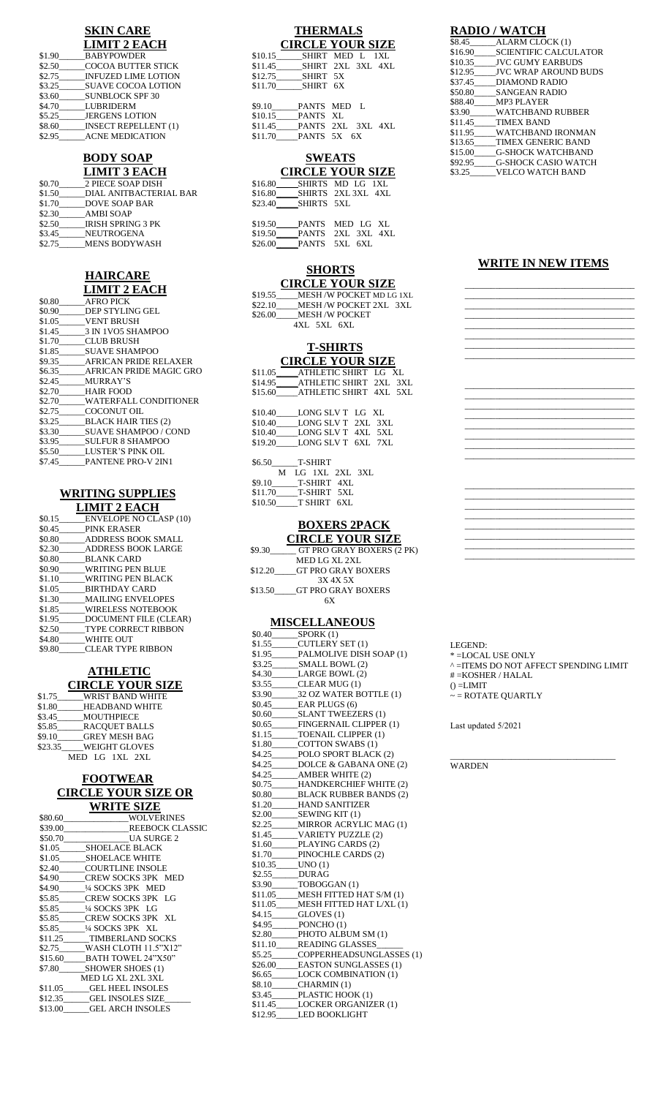# **SKIN CARE**

|        | <b>LIMIT 2 EACH</b>         |
|--------|-----------------------------|
| \$1.90 | <b>BABYPOWDER</b>           |
| \$2.50 | <b>COCOA BUTTER STICK</b>   |
| \$2.75 | <b>INFUZED LIME LOTION</b>  |
| \$3.25 | <b>SUAVE COCOA LOTION</b>   |
| \$3.60 | <b>SUNBLOCK SPF 30</b>      |
| \$4.70 | <b>LUBRIDERM</b>            |
| \$5.25 | <b>JERGENS LOTION</b>       |
| \$8.60 | <b>INSECT REPELLENT (1)</b> |
| \$2.95 | <b>ACNE MEDICATION</b>      |

### **BODY SOAP LIMIT 3 EACH**

|        | еции з елен              |
|--------|--------------------------|
| \$0.70 | 2 PIECE SOAP DISH        |
| \$1.50 | DIAL ANITBACTERIAL BAR   |
| \$1.70 | <b>DOVE SOAP BAR</b>     |
| \$2.30 | <b>AMBI SOAP</b>         |
| \$2.50 | <b>IRISH SPRING 3 PK</b> |
| \$3.45 | <b>NEUTROGENA</b>        |
| \$2.75 | <b>MENS BODYWASH</b>     |
|        |                          |

## **HAIRCARE LIMIT 2 EACH**

| \$0.80 | <b>AFRO PICK</b>               |
|--------|--------------------------------|
| \$0.90 | DEP STYLING GEL                |
|        | \$1.05 VENT BRUSH              |
|        | \$1.45 3 IN 1VO5 SHAMPOO       |
| \$1.70 | CLUB BRUSH                     |
| \$1.85 | <b>SUAVE SHAMPOO</b>           |
|        | \$9.35 AFRICAN PRIDE RELAXER   |
|        | \$6.35 AFRICAN PRIDE MAGIC GRO |
|        | \$2.45 MURRAY'S                |
|        | \$2.70 HAIR FOOD               |
| \$2.70 | WATERFALL CONDITIONER          |
| \$2.75 | COCONUT OIL                    |
| \$3.25 | <b>BLACK HAIR TIES (2)</b>     |
| \$3.30 | <b>SUAVE SHAMPOO / COND</b>    |
| \$3.95 | <b>SULFUR 8 SHAMPOO</b>        |
|        | \$5.50 LUSTER'S PINK OIL       |
| \$7.45 | <b>PANTENE PRO-V 2IN1</b>      |
|        |                                |

### **WRITING SUPPLIES LIMIT 2 EACH**

| \$0.15 | <b>ENVELOPE NO CLASP (10)</b> |
|--------|-------------------------------|
| \$0.45 | PINK ERASER                   |
| \$0.80 | <b>ADDRESS BOOK SMALL</b>     |
| \$2.30 | ADDRESS BOOK LARGE            |
| \$0.80 | BLANK CARD                    |
| \$0.90 | WRITING PEN BLUE              |
| \$1.10 | WRITING PEN BLACK             |
| \$1.05 | <b>BIRTHDAY CARD</b>          |
| \$1.30 | <b>MAILING ENVELOPES</b>      |
| \$1.85 | <b>WIRELESS NOTEBOOK</b>      |
| \$1.95 | DOCUMENT FILE (CLEAR)         |
| \$2.50 | <b>TYPE CORRECT RIBBON</b>    |
| \$4.80 | <b>WHITE OUT</b>              |
| \$9.80 | <b>CLEAR TYPE RIBBON</b>      |
|        |                               |

#### **ATHLETIC CIRCLE YOUR SIZE**  $$1.75$  WRIST BAND WHITE

| JI.IJ   | WIND I DAIND WIIIIE   |
|---------|-----------------------|
| \$1.80  | <b>HEADBAND WHITE</b> |
| \$3.45  | <b>MOUTHPIECE</b>     |
| \$5.85  | <b>RACOUET BALLS</b>  |
| \$9.10  | <b>GREY MESH BAG</b>  |
| \$23.35 | <b>WEIGHT GLOVES</b>  |
|         | MED LG 1XL 2XL        |

### **FOOTWEAR CIRCLE YOUR SIZE OR WRITE SIZE**

| **************                       |
|--------------------------------------|
| \$80.60 WOLVERINES                   |
| \$39.00 REEBOCK CLASSIC              |
| \$50.70 UA SURGE 2                   |
| \$1.05 SHOELACE BLACK                |
| \$1.05 SHOELACE WHITE                |
| \$2.40 COURTLINE INSOLE              |
| \$4.90 CREW SOCKS 3PK MED            |
| \$4.90 <sup>1</sup> /4 SOCKS 3PK MED |
| \$5.85 CREW SOCKS 3PK LG             |
|                                      |
| \$5.85 CREW SOCKS 3PK XL             |
|                                      |
| \$11.25 TIMBERLAND SOCKS             |
| \$2.75 WASH CLOTH 11.5"X12"          |
| \$15.60 BATH TOWEL 24"X50"           |
| \$7.80 SHOWER SHOES (1)              |
| MED LG XL 2XL 3XL                    |
| \$11.05 GEL HEEL INSOLES             |
| \$12.35 GEL INSOLES SIZE             |
| \$13.00 GEL ARCH INSOLES             |
|                                      |

# **THERMALS**

| <b>CIRCLE YOUR SIZE</b>   |  |  |
|---------------------------|--|--|
| \$10.15 SHIRT MED L 1XL   |  |  |
| \$11.45 SHIRT 2XL 3XL 4XL |  |  |
| \$12.75 SHIRT 5X          |  |  |
| \$11.70 SHIRT 6X          |  |  |
|                           |  |  |
| \$9.10 PANTS MED L        |  |  |
| \$10.15 PANTS XL          |  |  |
| \$11.45 PANTS 2XL 3XL 4XL |  |  |
| \$11.70 PANTS 5X 6X       |  |  |
|                           |  |  |

#### **SWEATS CIRCLE YOUR SIZE**

|  | emell Toen bild          |  |
|--|--------------------------|--|
|  | \$16.80 SHIRTS MD LG 1XL |  |
|  |                          |  |
|  |                          |  |
|  |                          |  |

| \$19.50 | PANTS MED LG XL           |  |  |
|---------|---------------------------|--|--|
|         | \$19.50 PANTS 2XL 3XL 4XL |  |  |
|         | \$26.00 PANTS 5XL 6XL     |  |  |

# **SHORTS**

**CIRCLE YOUR SIZE** \$19.55\_\_\_\_\_MESH /W POCKET MD LG 1XL \$19.55<br> **EXELUATE POCKET NDLG** 1XL<br>
\$22.10 MESH /W POCKET 2XL 3XL<br>
\$26.00 MESH /W POCKET MESH /W POCKET 4XL 5XL 6XL

# **T-SHIRTS**

|         | <b>CIRCLE YOUR SIZE</b> |  |
|---------|-------------------------|--|
| \$11.05 | ATHLETIC SHIRT LG XL    |  |
| \$14.95 | ATHLETIC SHIRT 2XL 3XL  |  |
| \$15.60 | ATHLETIC SHIRT 4XL 5XL  |  |

| \$10.40 | LONG SLV TLG XL    |  |
|---------|--------------------|--|
| \$10.40 | LONG SLV T 2XL 3XL |  |
| \$10.40 | LONG SLV T 4XL 5XL |  |
| \$19.20 | LONG SLV T 6XL 7XL |  |
|         |                    |  |

| \$6.50  |  | <b>T-SHIRT</b> |                  |  |
|---------|--|----------------|------------------|--|
|         |  |                | M LG 1XL 2XL 3XL |  |
| \$9.10  |  | T-SHIRT 4XL    |                  |  |
| \$11.70 |  | T-SHIRT 5XL    |                  |  |
| \$10.50 |  | T SHIRT 6XL    |                  |  |
|         |  |                |                  |  |

### **BOXERS 2PACK CIRCLE YOUR SIZE**

| \$9.30  | GT PRO GRAY BOXERS (2 PK) |
|---------|---------------------------|
|         | MED LG XL 2XL             |
| \$12.20 | GT PRO GRAY BOXERS        |
|         | 3X 4X 5X                  |
| \$13.50 | GT PRO GRAY BOXERS        |
|         |                           |

## **MISCELLANEOUS**

|                   | \$0.40 SPORK (1)                                                                                                                                                                                                                                                                                                                                                        |
|-------------------|-------------------------------------------------------------------------------------------------------------------------------------------------------------------------------------------------------------------------------------------------------------------------------------------------------------------------------------------------------------------------|
|                   | \$1.55______CUTLERY SET (1)                                                                                                                                                                                                                                                                                                                                             |
|                   | \$1.95______PALMOLIVE DISH SOAP (1)                                                                                                                                                                                                                                                                                                                                     |
|                   |                                                                                                                                                                                                                                                                                                                                                                         |
|                   | \$4.30_______LARGE BOWL (2)                                                                                                                                                                                                                                                                                                                                             |
|                   | \$3.55______CLEAR MUG(1)                                                                                                                                                                                                                                                                                                                                                |
|                   | \$3.90 ________ 32 OZ WATER BOTTLE (1)                                                                                                                                                                                                                                                                                                                                  |
|                   | \$0.45_______EAR PLUGS (6)<br>\$0.60______SLANT TWEEZERS (1)<br>\$0.65______FINGERNAIL CLIPPER (1)                                                                                                                                                                                                                                                                      |
|                   |                                                                                                                                                                                                                                                                                                                                                                         |
|                   |                                                                                                                                                                                                                                                                                                                                                                         |
|                   | \$1.15 TOENAIL CLIPPER (1)                                                                                                                                                                                                                                                                                                                                              |
|                   | \$1.80 COTTON SWABS (1)                                                                                                                                                                                                                                                                                                                                                 |
|                   | \$4.25______POLO SPORT BLACK (2)                                                                                                                                                                                                                                                                                                                                        |
|                   | \$4.25______DOLCE & GABANA ONE (2)                                                                                                                                                                                                                                                                                                                                      |
|                   | \$4.25___________ AMBER WHITE (2)                                                                                                                                                                                                                                                                                                                                       |
|                   | \$0.75______HANDKERCHIEF WHITE (2)                                                                                                                                                                                                                                                                                                                                      |
|                   | \$0.80_______BLACK RUBBER BANDS (2)                                                                                                                                                                                                                                                                                                                                     |
|                   | \$1.20_____HAND SANITIZER<br>\$2.00______SEWING KIT (1)<br>\$2.25______MIRROR ACRYLIC MAG (1)                                                                                                                                                                                                                                                                           |
|                   |                                                                                                                                                                                                                                                                                                                                                                         |
|                   |                                                                                                                                                                                                                                                                                                                                                                         |
|                   | \$1.45_____VARIETY PUZZLE (2)                                                                                                                                                                                                                                                                                                                                           |
|                   | \$1.60 PLAYING CARDS (2)                                                                                                                                                                                                                                                                                                                                                |
|                   | \$1.70______PINOCHLE CARDS (2)                                                                                                                                                                                                                                                                                                                                          |
| \$10.35____UNO(1) |                                                                                                                                                                                                                                                                                                                                                                         |
| \$2.55______DURAG |                                                                                                                                                                                                                                                                                                                                                                         |
|                   |                                                                                                                                                                                                                                                                                                                                                                         |
|                   |                                                                                                                                                                                                                                                                                                                                                                         |
|                   |                                                                                                                                                                                                                                                                                                                                                                         |
|                   |                                                                                                                                                                                                                                                                                                                                                                         |
|                   |                                                                                                                                                                                                                                                                                                                                                                         |
|                   | $\begin{array}{ll}\n 3.90 & \text{TOBOGAN (1)} \\  3.90 & \text{TOBOGAN (1)} \\  \text{S11.05} & \text{MESH FITTED HAT S/M (1)} \\  \text{S11.05} & \text{MESH FITTED HAT LXL (1)} \\  \text{S4.15} & \text{GLOVES (1)} \\  \text{S4.95} & \text{PONCHO (1)} \\  \text{S2.80} & \text{PHOTO AIBUM SM (1)} \\  \text{S2.80} & \text{PHOTO AIBUM SM (1)} \\  \end{array}$ |
|                   | \$11.10_____READING GLASSES                                                                                                                                                                                                                                                                                                                                             |
|                   | \$5.25 COPPERHEADSUNGLASSES (1)                                                                                                                                                                                                                                                                                                                                         |
|                   | \$26.00 EASTON SUNGLASSES (1)                                                                                                                                                                                                                                                                                                                                           |
|                   | \$6.65______LOCK COMBINATION (1)                                                                                                                                                                                                                                                                                                                                        |
|                   |                                                                                                                                                                                                                                                                                                                                                                         |
|                   |                                                                                                                                                                                                                                                                                                                                                                         |
|                   |                                                                                                                                                                                                                                                                                                                                                                         |
|                   | \$8.10 CHARMIN (1)<br>\$3.45 PLASTIC HOOK (1)<br>\$11.45 LOCKER ORGANIZER (1)<br>\$12.95 LED BOOKLIGHT                                                                                                                                                                                                                                                                  |
|                   |                                                                                                                                                                                                                                                                                                                                                                         |

# **RADIO / WATCH**

| \$8.45  | ALARM CLOCK (1)              |
|---------|------------------------------|
| \$16.90 | <b>SCIENTIFIC CALCULATOR</b> |
| \$10.35 | <b>IVC GUMY EARBUDS</b>      |
| \$12.95 | <b>JVC WRAP AROUND BUDS</b>  |
| \$37.45 | DIAMOND RADIO                |
|         | \$50.80 SANGEAN RADIO        |
| \$88.40 | <b>MP3 PLAYER</b>            |
| \$3.90  | <b>WATCHBAND RUBBER</b>      |
|         | \$11.45 TIMEX BAND           |
| \$11.95 | <b>WATCHBAND IRONMAN</b>     |
| \$13.65 | <b>TIMEX GENERIC BAND</b>    |
| \$15.00 | <b>G-SHOCK WATCHBAND</b>     |
| \$92.95 | <b>G-SHOCK CASIO WATCH</b>   |
| \$3.25  | <b>VELCO WATCH BAND</b>      |

## **WRITE IN NEW ITEMS**

\_\_\_\_\_\_\_\_\_\_\_\_\_\_\_\_\_\_\_\_\_\_\_\_\_\_\_\_\_\_\_\_\_\_\_\_\_\_\_ \_\_\_\_\_\_\_\_\_\_\_\_\_\_\_\_\_\_\_\_\_\_\_\_\_\_\_\_\_\_\_\_\_\_\_\_\_\_\_ \_\_\_\_\_\_\_\_\_\_\_\_\_\_\_\_\_\_\_\_\_\_\_\_\_\_\_\_\_\_\_\_\_\_\_\_\_\_\_ \_\_\_\_\_\_\_\_\_\_\_\_\_\_\_\_\_\_\_\_\_\_\_\_\_\_\_\_\_\_\_\_\_\_\_\_\_\_\_ \_\_\_\_\_\_\_\_\_\_\_\_\_\_\_\_\_\_\_\_\_\_\_\_\_\_\_\_\_\_\_\_\_\_\_\_\_\_\_ \_\_\_\_\_\_\_\_\_\_\_\_\_\_\_\_\_\_\_\_\_\_\_\_\_\_\_\_\_\_\_\_\_\_\_\_\_\_\_ \_\_\_\_\_\_\_\_\_\_\_\_\_\_\_\_\_\_\_\_\_\_\_\_\_\_\_\_\_\_\_\_\_\_\_\_\_\_\_ \_\_\_\_\_\_\_\_\_\_\_\_\_\_\_\_\_\_\_\_\_\_\_\_\_\_\_\_\_\_\_\_\_\_\_\_\_\_\_

\_\_\_\_\_\_\_\_\_\_\_\_\_\_\_\_\_\_\_\_\_\_\_\_\_\_\_\_\_\_\_\_\_\_\_\_\_\_\_ \_\_\_\_\_\_\_\_\_\_\_\_\_\_\_\_\_\_\_\_\_\_\_\_\_\_\_\_\_\_\_\_\_\_\_\_\_\_\_ \_\_\_\_\_\_\_\_\_\_\_\_\_\_\_\_\_\_\_\_\_\_\_\_\_\_\_\_\_\_\_\_\_\_\_\_\_\_\_ \_\_\_\_\_\_\_\_\_\_\_\_\_\_\_\_\_\_\_\_\_\_\_\_\_\_\_\_\_\_\_\_\_\_\_\_\_\_\_ \_\_\_\_\_\_\_\_\_\_\_\_\_\_\_\_\_\_\_\_\_\_\_\_\_\_\_\_\_\_\_\_\_\_\_\_\_\_\_ \_\_\_\_\_\_\_\_\_\_\_\_\_\_\_\_\_\_\_\_\_\_\_\_\_\_\_\_\_\_\_\_\_\_\_\_\_\_\_ \_\_\_\_\_\_\_\_\_\_\_\_\_\_\_\_\_\_\_\_\_\_\_\_\_\_\_\_\_\_\_\_\_\_\_\_\_\_\_ \_\_\_\_\_\_\_\_\_\_\_\_\_\_\_\_\_\_\_\_\_\_\_\_\_\_\_\_\_\_\_\_\_\_\_\_\_\_\_

\_\_\_\_\_\_\_\_\_\_\_\_\_\_\_\_\_\_\_\_\_\_\_\_\_\_\_\_\_\_\_\_\_\_\_\_\_\_\_ \_\_\_\_\_\_\_\_\_\_\_\_\_\_\_\_\_\_\_\_\_\_\_\_\_\_\_\_\_\_\_\_\_\_\_\_\_\_\_ \_\_\_\_\_\_\_\_\_\_\_\_\_\_\_\_\_\_\_\_\_\_\_\_\_\_\_\_\_\_\_\_\_\_\_\_\_\_\_ \_\_\_\_\_\_\_\_\_\_\_\_\_\_\_\_\_\_\_\_\_\_\_\_\_\_\_\_\_\_\_\_\_\_\_\_\_\_\_ \_\_\_\_\_\_\_\_\_\_\_\_\_\_\_\_\_\_\_\_\_\_\_\_\_\_\_\_\_\_\_\_\_\_\_\_\_\_\_ \_\_\_\_\_\_\_\_\_\_\_\_\_\_\_\_\_\_\_\_\_\_\_\_\_\_\_\_\_\_\_\_\_\_\_\_\_\_\_ \_\_\_\_\_\_\_\_\_\_\_\_\_\_\_\_\_\_\_\_\_\_\_\_\_\_\_\_\_\_\_\_\_\_\_\_\_\_\_ \_\_\_\_\_\_\_\_\_\_\_\_\_\_\_\_\_\_\_\_\_\_\_\_\_\_\_\_\_\_\_\_\_\_\_\_\_\_\_

LEGEND:  $\ast$  =LOCAL USE ONLY ^ =ITEMS DO NOT AFFECT SPENDING LIMIT # =KOSHER / HALAL  $()$  =LIMIT  $\sim$  = ROTATE QUARTLY

Last updated 5/2021

\_\_\_\_\_\_\_\_\_\_\_\_\_\_\_\_\_\_\_\_\_\_\_\_\_\_\_\_\_\_\_\_\_\_\_\_\_\_ WARDEN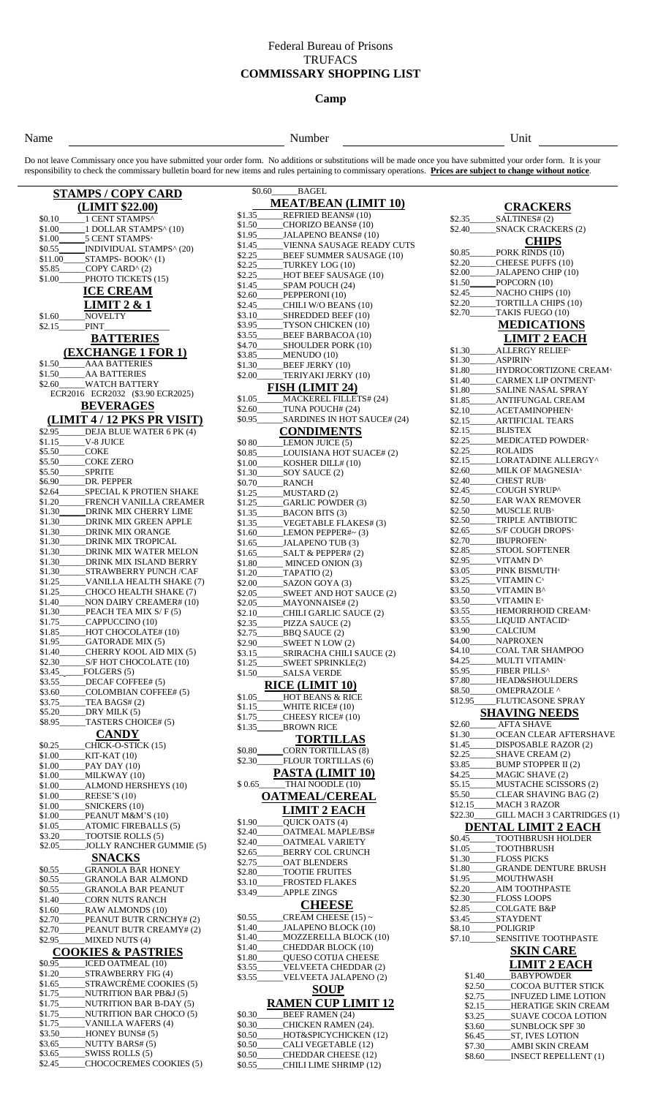### Federal Bureau of Prisons **TRUFACS COMMISSARY SHOPPING LIST**

### **Camp**

#### Name **Number** Unit

Do not leave Commissary once you have submitted your order form. No additions or substitutions will be made once you have submitted your order form. It is your responsibility to check the commissary bulletin board for new items and rules pertaining to commissary operations. **Prices are subject to change without notice**.

\$0.60 BAGEL

| <b>STAMPS / COPY CARD</b>                                                                 |  |  |  |
|-------------------------------------------------------------------------------------------|--|--|--|
| (LIMIT \$22.00)                                                                           |  |  |  |
|                                                                                           |  |  |  |
|                                                                                           |  |  |  |
| \$1.00 1 DOLLAR STAMPS^ (10)                                                              |  |  |  |
| \$1.00 5 CENT STAMPS <sup>^</sup><br>\$0.55_______INDIVIDUAL STAMPS^(20)                  |  |  |  |
| $$11.00$ STAMPS-BOOK^(1)                                                                  |  |  |  |
| \$5.85______COPY CARD^ (2)                                                                |  |  |  |
| _PHOTO TICKETS (15)<br>\$1.00                                                             |  |  |  |
|                                                                                           |  |  |  |
| <b>ICE CREAM</b>                                                                          |  |  |  |
| LIMIT $2 & 1$                                                                             |  |  |  |
| NOVELTY<br>\$1.60                                                                         |  |  |  |
| \$2.15______PINT                                                                          |  |  |  |
| <b>BATTERIES</b>                                                                          |  |  |  |
|                                                                                           |  |  |  |
| (EXCHANGE 1 FOR 1)                                                                        |  |  |  |
|                                                                                           |  |  |  |
| \$1.50 AA BATTERIES                                                                       |  |  |  |
| \$2.60 WATCH BATTERY                                                                      |  |  |  |
| ECR2016 ECR2032 (\$3.90 ECR2025)                                                          |  |  |  |
| <b>BEVERAGES</b>                                                                          |  |  |  |
| (LIMIT 4/12 PKS PR VISIT)                                                                 |  |  |  |
|                                                                                           |  |  |  |
| \$2.95 DEJA BLUE WATER 6 PK (4)                                                           |  |  |  |
| \$1.15<br>V-8 JUICE                                                                       |  |  |  |
| <b>COKE</b><br>\$5.50                                                                     |  |  |  |
| \$5.50<br>COKE ZERO                                                                       |  |  |  |
| \$5.50 SPRITE                                                                             |  |  |  |
| \$6.90<br>DR. PEPPER<br>_SPECIAL K PROTIEN SHAKE                                          |  |  |  |
| \$2.64<br>FRENCH VANILLA CREAMER                                                          |  |  |  |
| \$1.20<br>\$1.30______DRINK MIX CHERRY LIME                                               |  |  |  |
| DRINK MIX GREEN APPLE                                                                     |  |  |  |
| \$1.30<br>\$1.30<br>DRINK MIX ORANGE                                                      |  |  |  |
| DRINK MIX TROPICAL<br>\$1.30                                                              |  |  |  |
| DRINK MIX WATER MELON<br>\$1.30                                                           |  |  |  |
| DRINK MIX ISLAND BERRY<br>\$1.30                                                          |  |  |  |
| STRAWBERRY PUNCH/CAF<br>\$1.30                                                            |  |  |  |
| VANILLA HEALTH SHAKE (7)<br>\$1.25                                                        |  |  |  |
| CHOCO HEALTH SHAKE (7)<br>\$1.25                                                          |  |  |  |
| __NON DAIRY CREAMER# (10)<br>\$1.40_                                                      |  |  |  |
| $\_\$ PEACH TEA MIX S/F(5)<br>\$1.30                                                      |  |  |  |
| CAPPUCCINO (10)<br>\$1.75                                                                 |  |  |  |
| __HOT CHOCOLATE# (10)<br>\$1.85                                                           |  |  |  |
| \$1.95 GATORADE MIX (5)                                                                   |  |  |  |
| _CHERRY KOOL AID MIX (5)<br>\$1.40                                                        |  |  |  |
| \$2.30                                                                                    |  |  |  |
| $$3.45$ <sub>_____</sub><br>$_FOLGERS(5)$                                                 |  |  |  |
| \$3.55 DECAF COFFEE# (5)                                                                  |  |  |  |
| _COLOMBIAN COFFEE# (5)<br>\$3.60                                                          |  |  |  |
| $_TEABAGS#(2)$<br>\$3.75                                                                  |  |  |  |
| $DRY$ MILK $(5)$<br>\$5.20                                                                |  |  |  |
| $\_\$ TASTERS CHOICE# $(5)$<br>\$8.95_                                                    |  |  |  |
| <b>CANDY</b>                                                                              |  |  |  |
| _CHICK-O-STICK (15)<br>\$0.25                                                             |  |  |  |
| \$1.00_____KIT-KAT (10)                                                                   |  |  |  |
| \$1.00______PAY DAY (10)                                                                  |  |  |  |
| MILKWAY(10)<br>\$1.00                                                                     |  |  |  |
| \$1.00________ALMOND HERSHEYS (10)                                                        |  |  |  |
| $\mathbb{R}$ EESE'S (10)<br>\$1.00                                                        |  |  |  |
|                                                                                           |  |  |  |
| $\_\_$ PEANUT M&M'S (10)<br>\$1.00                                                        |  |  |  |
| __ATOMIC FIREBALLS (5)<br>$$1.05$ <sub>--</sub>                                           |  |  |  |
| \$3.20<br>$\_TOOTSIE$ ROLLS $(5)$                                                         |  |  |  |
| JOLLY RANCHER GUMMIE (5)<br>\$2.05                                                        |  |  |  |
| <b>SNACKS</b>                                                                             |  |  |  |
| \$0.55______GRANOLA BAR HONEY                                                             |  |  |  |
| \$0.55_____GRANOLA BAR ALMOND                                                             |  |  |  |
| \$0.55_____GRANOLA BAR PEANUT                                                             |  |  |  |
| \$1.40<br>CORN NUTS RANCH                                                                 |  |  |  |
| _RAW ALMONDS (10)<br>\$1.60                                                               |  |  |  |
| _PEANUT BUTR CRNCHY#(2)<br>\$2.70                                                         |  |  |  |
| _PEANUT BUTR CREAMY#(2)<br>\$2.70                                                         |  |  |  |
| _MIXED NUTS (4)<br>\$2.95_                                                                |  |  |  |
| <b>COOKIES &amp; PASTRIES</b>                                                             |  |  |  |
|                                                                                           |  |  |  |
| \$0.95_______ICED OATMEAL (10)<br>STRAWBERRY FIG (4)                                      |  |  |  |
| \$1.20<br>_STRAWCRÈME COOKIES (5)<br>\$1.65                                               |  |  |  |
| _NUTRITION BAR PB&J (5)<br>\$1.75                                                         |  |  |  |
|                                                                                           |  |  |  |
| \$1.75<br>NUTRITION BAR B-DAY (5)<br>$MUTRITION$ BAR CHOCO $(5)$<br>$$1.75$ <sub>--</sub> |  |  |  |
| \$1.75<br>VANILLA WAFERS (4)                                                              |  |  |  |
| \$3.50<br>___HONEY BUNS#(5)                                                               |  |  |  |
| \$3.65________NUTTY BARS#(5)                                                              |  |  |  |
| \$3.65 _______ SWISS ROLLS (5)                                                            |  |  |  |
|                                                                                           |  |  |  |

\$2.45\_\_\_\_\_\_CHOCOCREMES COOKIES (5)

**MEAT/BEAN (LIMIT 10)**<br>\$1.35 REFRIED BEANS# (10) **REFRIED BEANS# (10)** \$1.50\_\_\_\_\_\_CHORIZO BEANS# (10) \$1.95\_\_\_\_\_\_JALAPENO BEANS# (10)<br>\$1.45\_\_\_\_\_\_VIENNA SAUSAGE REA \$1.45\_\_\_\_\_\_VIENNA SAUSAGE READY CUTS \$2.25\_\_\_\_\_\_BEEF SUMMER SAUSAGE (10) \$2.25\_\_\_\_\_\_TURKEY LOG (10) \$2.25\_\_\_\_\_\_HOT BEEF SAUSAGE (10) \$1.45\_\_\_\_\_\_SPAM POUCH (24) PEPPERONI (10)  $\overline{\text{S2.45}}$  CHILI W/O BEANS (10)<br>  $\overline{\text{S3.10}}$  SHREDDED BEEF (10) \$3.10\_\_\_\_\_\_SHREDDED BEEF (10) \$3.95\_\_\_\_\_\_TYSON CHICKEN (10)<br>\$3.55\_\_\_\_\_\_\_BEEF BARBACOA (10) \$3.55\_\_\_\_\_\_\_BEEF BARBACOA (10)<br>\$4.70 SHOULDER PORK (10) \$4.70\_\_\_\_\_\_SHOULDER PORK (10) \$3.85\_\_\_\_\_\_MENUDO (10)<br>\$1.30\_\_\_\_\_\_\_\_BEEF JERKY ( \$1.30\_\_\_\_\_\_BEEF JERKY (10) TERIYAKI JERKY (10) **FISH (LIMIT 24)**<br>MACKEREL FILLET MACKEREL FILLETS# (24) \$2.60\_\_\_\_\_\_TUNA POUCH# (24) \$0.95\_\_\_\_\_\_SARDINES IN HOT SAUCE# (24) **CONDIMENTS** \$0 80\_\_\_\_\_\_\_LEMON JUICE (5)<br>\$0.85\_\_\_\_\_\_\_LOUISIANA HOT LOUISIANA HOT SUACE# (2) \$1.00\_\_\_\_\_\_KOSHER DILL# (10) \$1.30\_\_\_\_\_\_SOY SAUCE (2) \$0.70\_\_\_\_\_\_RANCH MUSTARD (2) \$1.25\_\_\_\_\_\_GARLIC POWDER (3) \$1.35\_\_\_\_\_\_BACON BITS (3) \$1.35\_\_\_\_\_\_VEGETABLE FLAKES# (3)<br>\$1.60\_\_\_\_\_\_LEMON PEPPER#~ (3) LEMON PEPPER#~ (3) \$1.65\_\_\_\_\_\_JALAPENO TUB (3)<br>\$1.65\_\_\_\_\_\_SALT & PEPPER# (2) \$1.65\_\_\_\_\_\_SALT & PEPPER# (2) \$1.80\_\_\_\_\_\_\_ MINCED ONION (3)<br>\$1.20\_\_\_\_\_\_\_ TAPATIO (2) TAPATIO (2) \$2.00\_\_\_\_\_\_SAZON GOYA (3) \$2.05\_\_\_\_\_\_SWEET AND HOT SAUCE (2) \$2.05\_\_\_\_\_\_MAYONNAISE# (2)<br>\$2.10\_\_\_\_\_\_CHILI GARLIC SAU<br>\$2.35\_\_\_\_\_\_PIZZA SAUCE (2) CHILI GARLIC SAUCE (2) \$2.35\_\_\_\_\_\_PIZZA SAUCE (2) \$2.75\_\_\_\_\_\_BBQ SAUCE (2)  $SWEET N LOW (2)$ \$3.15\_\_\_\_\_\_SRIRACHA CHILI SAUCE (2) \$1.25\_\_\_\_\_\_SWEET SPRINKLE(2) \$1.50\_\_\_\_\_\_SALSA VERDE **RICE (LIMIT 10)**<br>\$1.05\_\_\_\_\_HOT BEANS & RIC \$1.05\_\_\_\_\_\_HOT BEANS & RICE \$1.15\_\_\_\_\_\_WHITE RICE# (10) \$1.75\_\_\_\_\_\_CHEESY RICE# (10)<br>\$1.35 BROWN RICE BROWN RICE **TORTILLAS** \$0.80\_\_\_\_\_\_CORN TORTILLAS (8)<br>\$2.30\_\_\_\_\_\_FLOUR TORTILLAS (6  $F$ LOUR TORTILLAS  $(6)$ **PASTA (LIMIT 10)** \$ 0.65\_\_\_\_\_\_THAI NOODLE (10)  **OATMEAL/CEREAL LIMIT 2 EACH** \$1.90\_\_\_\_\_\_QUICK OATS (4) \$2.40\_\_\_\_\_\_\_OATMEAL MAPLE/BS#<br>\$2.40\_\_\_\_\_\_OATMEAL VARIETY \$2.40\_\_\_\_\_\_OATMEAL VARIETY \$2.65\_\_\_\_\_\_BERRY COL CRUNCH OAT BLENDERS \$2.80 TOOTIE FRUITES \$3.10\_\_\_\_\_\_FROSTED FLAKES<br>\$3.49\_\_\_\_\_\_\_APPLE ZINGS APPLE ZINGS **CHEESE** \$0.55\_\_\_\_\_\_CREAM CHEESE (15) ~ \$1.40\_\_\_\_\_\_JALAPENO BLOCK (10) \$1.40\_\_\_\_\_\_MOZZERELLA BLOCK (10) \$1.40\_\_\_\_\_\_CHEDDAR BLOCK (10)<br>\$1.80\_\_\_\_\_\_QUESO COTIJA CHEES QUESO COTIJA CHEESE \$3.55\_\_\_\_\_\_VELVEETA CHEDDAR (2) \$3.55\_\_\_\_\_\_VELVEETA JALAPENO (2)  **SOUP RAMEN CUP LIMIT 12** \$0.30\_\_\_\_\_\_BEEF RAMEN (24) \$0.30\_\_\_\_\_\_CHICKEN RAMEN (24). \$0.50\_\_\_\_\_HOT&SPICYCHICKEN (12)<br>\$0.50\_\_\_\_\_CALI VEGETABLE (12) CALI VEGETABLE (12) \$0.50\_\_\_\_\_\_CHEDDAR CHEESE (12)<br>\$0.55\_\_\_\_\_CHILI LIME SHRIMP (12 CHILI LIME SHRIMP (12)

| $\underbrace{\textbf{CRACKE}}_{\text{SALTINES# (2)}}$<br><b>CRACKERS</b> |                                                                                    |  |  |
|--------------------------------------------------------------------------|------------------------------------------------------------------------------------|--|--|
|                                                                          |                                                                                    |  |  |
|                                                                          | \$2.40 SNACK CRACKERS (2)                                                          |  |  |
|                                                                          | <b>CHIPS</b><br>$$\text{\ss}0.85 \underline{\hspace{1cm}} \text{PORK RINDS (10)}$$ |  |  |
|                                                                          | \$2.20______CHEESE PUFFS (10)                                                      |  |  |
|                                                                          | \$2.00______JALAPENO CHIP (10)                                                     |  |  |
|                                                                          | \$1.50 POPCORN (10)                                                                |  |  |
|                                                                          | \$2.45 NACHO CHIPS (10)<br>\$2.20 TORTILLA CHIPS (10)<br>\$2.70 TAKIS FUEGO (10)   |  |  |
|                                                                          |                                                                                    |  |  |
|                                                                          | <b>MEDICATIONS</b>                                                                 |  |  |
|                                                                          | <b>LIMIT 2 EACH</b>                                                                |  |  |
|                                                                          |                                                                                    |  |  |
| \$1.30 ASPIRINA                                                          | \$1.80_____HYDROCORTIZONE CREAM^                                                   |  |  |
|                                                                          | \$1.40______CARMEX LIP ONTMENT <sup>A</sup>                                        |  |  |
|                                                                          |                                                                                    |  |  |
|                                                                          | \$1.85 ______ ANTIFUNGAL CREAM<br>\$2.10________ACETAMINOPHEN^                     |  |  |
|                                                                          |                                                                                    |  |  |
|                                                                          | \$2.15_________BLISTEX                                                             |  |  |
| \$2.25                                                                   | ___MEDICATED POWDER^                                                               |  |  |
|                                                                          | \$2.25_________________ROLAIDS<br>\$2.15_______LORATADINE ALLERGY^                 |  |  |
|                                                                          | \$2.60______MILK OF MAGNESIA^                                                      |  |  |
|                                                                          | \$2.40 CHEST RUB^                                                                  |  |  |
|                                                                          | \$2.45____COUGH SYRUP^                                                             |  |  |
|                                                                          | \$2.50_______EAR WAX REMOVER<br>\$2.50______MUSCLE RUB^                            |  |  |
|                                                                          | \$2.50_____TRIPLE ANTIBIOTIC                                                       |  |  |
|                                                                          | \$2.65 S/F COUGH DROPS <sup>A</sup><br>\$2.70_______IBUPROFEN^                     |  |  |
|                                                                          | \$2.85 STOOL SOFTENER                                                              |  |  |
|                                                                          | \$2.95_____VITAMN D^                                                               |  |  |
|                                                                          | \$3.05______PINK BISMUTH^                                                          |  |  |
| \$3.50                                                                   | \$3.25_____VITAMIN C^<br>VITAMIN B^                                                |  |  |
|                                                                          | \$3.50_____VITAMIN E^                                                              |  |  |
|                                                                          | \$3.55 HEMORRHOID CREAM^                                                           |  |  |
|                                                                          | \$3.55_______LIQUID ANTACID^<br>\$3.90 CALCIUM                                     |  |  |
|                                                                          | \$4.00______NAPROXEN                                                               |  |  |
|                                                                          | \$4.10_______COAL TAR SHAMPOO                                                      |  |  |
|                                                                          | \$4.25______ MULTI VITAMIN^<br>\$5.95 FIBER PILLS^                                 |  |  |
|                                                                          | \$7.80 HEAD&SHOULDERS                                                              |  |  |
|                                                                          | \$8.50______OMEPRAZOLE ^<br>\$12.95_____FLUTICASONE SPRAY                          |  |  |
|                                                                          |                                                                                    |  |  |
|                                                                          | <b>SHAVING NEEDS</b><br>\$2.60_______ AFTA SHAVE                                   |  |  |
|                                                                          | \$1.30_______OCEAN CLEAR AFTERSHAVE                                                |  |  |
|                                                                          | \$1.45 DISPOSABLE RAZOR (2)                                                        |  |  |
|                                                                          | \$2.25 _______ SHAVE CREAM (2)<br>\$3.85________BUMP STOPPER II (2)                |  |  |
|                                                                          |                                                                                    |  |  |
|                                                                          | \$4.25 _____MAGIC SHAVE (2)<br>\$5.15 _____MUSTACHE SCISSORS (2)                   |  |  |
|                                                                          | \$5.50 CLEAR SHAVING BAG (2)<br>\$12.15____MACH 3 RAZOR                            |  |  |
|                                                                          | \$22.30___GILL MACH 3 CARTRIDGES (1)                                               |  |  |
|                                                                          | <b>DENTAL LIMIT 2 EACH</b>                                                         |  |  |
|                                                                          | $$0.45$ TOOTHBRUSH HOLDER                                                          |  |  |
|                                                                          | \$1.05______TOOTHBRUSH<br>\$1.30 FLOSS PICKS                                       |  |  |
|                                                                          | \$1.80_____GRANDE DENTURE BRUSH                                                    |  |  |
|                                                                          | \$1.95 MOUTHWASH                                                                   |  |  |
|                                                                          | \$2.20________AIM TOOTHPASTE<br>\$2.30____FLOSS LOOPS                              |  |  |
|                                                                          |                                                                                    |  |  |
|                                                                          | \$2.85_____COLGATE B&P<br>\$3.45______STAYDENT<br>\$8.10_____POLIGRIP              |  |  |
|                                                                          | \$7.10________SENSITIVE TOOTHPASTE                                                 |  |  |
|                                                                          | <b>SKIN CARE</b>                                                                   |  |  |
|                                                                          | <b>LIMIT 2 EACH</b>                                                                |  |  |
|                                                                          | \$1.40 BABYPOWDER                                                                  |  |  |
|                                                                          | \$2.50_____COCOA BUTTER STICK                                                      |  |  |
|                                                                          | \$2.75 INFUZED LIME LOTION<br>\$2.15_____HERATIGE SKIN CREAM                       |  |  |
|                                                                          |                                                                                    |  |  |
|                                                                          | \$3.60 SUNBLOCK SPF 30                                                             |  |  |
|                                                                          | \$6.45 ST, IVES LOTION                                                             |  |  |
|                                                                          | \$7.30____________ AMBI SKIN CREAM<br>\$8.60 INSECT REPELLENT (1)                  |  |  |
|                                                                          |                                                                                    |  |  |